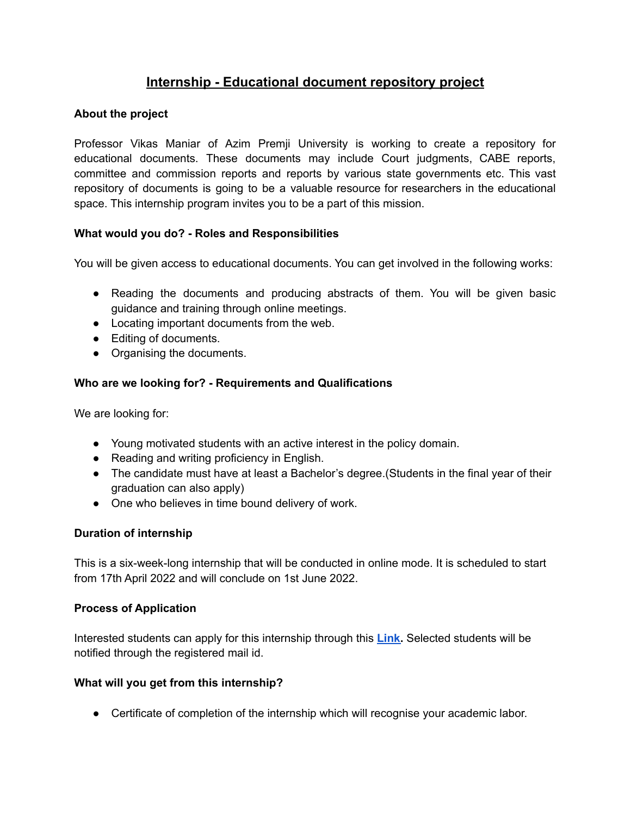# **Internship - Educational document repository project**

#### **About the project**

Professor Vikas Maniar of Azim Premji University is working to create a repository for educational documents. These documents may include Court judgments, CABE reports, committee and commission reports and reports by various state governments etc. This vast repository of documents is going to be a valuable resource for researchers in the educational space. This internship program invites you to be a part of this mission.

## **What would you do? - Roles and Responsibilities**

You will be given access to educational documents. You can get involved in the following works:

- Reading the documents and producing abstracts of them. You will be given basic guidance and training through online meetings.
- Locating important documents from the web.
- Editing of documents.
- Organising the documents.

## **Who are we looking for? - Requirements and Qualifications**

We are looking for:

- Young motivated students with an active interest in the policy domain.
- Reading and writing proficiency in English.
- The candidate must have at least a Bachelor's degree. (Students in the final year of their graduation can also apply)
- One who believes in time bound delivery of work.

## **Duration of internship**

This is a six-week-long internship that will be conducted in online mode. It is scheduled to start from 17th April 2022 and will conclude on 1st June 2022.

## **Process of Application**

Interested students can apply for this internship through this **[Link.](https://docs.google.com/forms/d/1mQdrnDKGF3xSU22R2Celv7qIPzk976X7PR6o5qciQy8/)** Selected students will be notified through the registered mail id.

#### **What will you get from this internship?**

● Certificate of completion of the internship which will recognise your academic labor.